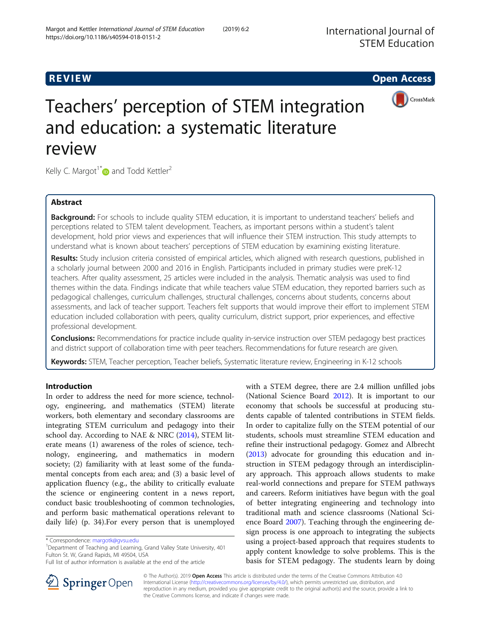# **REVIEW CONSTRUCTION CONSTRUCTION CONSTRUCTS**



# Teachers' perception of STEM integration and education: a systematic literature review

Kelly C. Margot<sup>1\*</sup> and Todd Kettler<sup>2</sup>

# Abstract

Background: For schools to include quality STEM education, it is important to understand teachers' beliefs and perceptions related to STEM talent development. Teachers, as important persons within a student's talent development, hold prior views and experiences that will influence their STEM instruction. This study attempts to understand what is known about teachers' perceptions of STEM education by examining existing literature.

Results: Study inclusion criteria consisted of empirical articles, which aligned with research questions, published in a scholarly journal between 2000 and 2016 in English. Participants included in primary studies were preK-12 teachers. After quality assessment, 25 articles were included in the analysis. Thematic analysis was used to find themes within the data. Findings indicate that while teachers value STEM education, they reported barriers such as pedagogical challenges, curriculum challenges, structural challenges, concerns about students, concerns about assessments, and lack of teacher support. Teachers felt supports that would improve their effort to implement STEM education included collaboration with peers, quality curriculum, district support, prior experiences, and effective professional development.

Conclusions: Recommendations for practice include quality in-service instruction over STEM pedagogy best practices and district support of collaboration time with peer teachers. Recommendations for future research are given.

Keywords: STEM, Teacher perception, Teacher beliefs, Systematic literature review, Engineering in K-12 schools

## Introduction

In order to address the need for more science, technology, engineering, and mathematics (STEM) literate workers, both elementary and secondary classrooms are integrating STEM curriculum and pedagogy into their school day. According to NAE & NRC [\(2014](#page-15-0)), STEM literate means (1) awareness of the roles of science, technology, engineering, and mathematics in modern society; (2) familiarity with at least some of the fundamental concepts from each area; and (3) a basic level of application fluency (e.g., the ability to critically evaluate the science or engineering content in a news report, conduct basic troubleshooting of common technologies, and perform basic mathematical operations relevant to daily life) (p. 34).For every person that is unemployed

<sup>1</sup>Department of Teaching and Learning, Grand Valley State University, 401 Fulton St. W, Grand Rapids, MI 49504, USA





© The Author(s). 2019 Open Access This article is distributed under the terms of the Creative Commons Attribution 4.0 International License ([http://creativecommons.org/licenses/by/4.0/\)](http://creativecommons.org/licenses/by/4.0/), which permits unrestricted use, distribution, and reproduction in any medium, provided you give appropriate credit to the original author(s) and the source, provide a link to the Creative Commons license, and indicate if changes were made.

<sup>\*</sup> Correspondence: [margotk@gvsu.edu](mailto:margotk@gvsu.edu) <sup>1</sup>

Full list of author information is available at the end of the article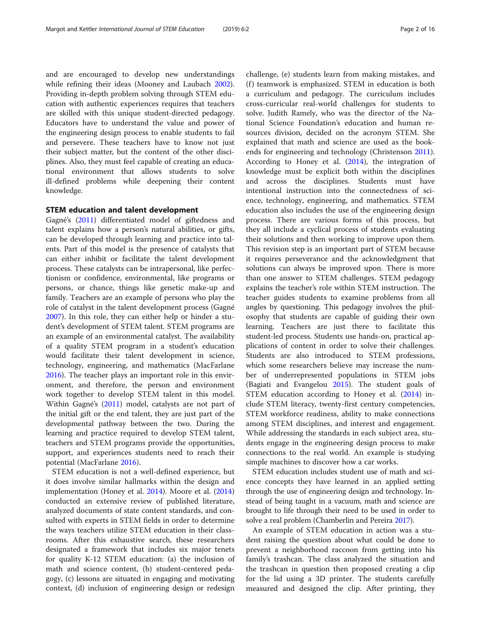and are encouraged to develop new understandings while refining their ideas (Mooney and Laubach [2002](#page-15-0)). Providing in-depth problem solving through STEM education with authentic experiences requires that teachers are skilled with this unique student-directed pedagogy. Educators have to understand the value and power of the engineering design process to enable students to fail and persevere. These teachers have to know not just their subject matter, but the content of the other disciplines. Also, they must feel capable of creating an educational environment that allows students to solve ill-defined problems while deepening their content knowledge.

#### STEM education and talent development

Gagné's ([2011](#page-14-0)) differentiated model of giftedness and talent explains how a person's natural abilities, or gifts, can be developed through learning and practice into talents. Part of this model is the presence of catalysts that can either inhibit or facilitate the talent development process. These catalysts can be intrapersonal, like perfectionism or confidence, environmental, like programs or persons, or chance, things like genetic make-up and family. Teachers are an example of persons who play the role of catalyst in the talent development process (Gagné [2007](#page-14-0)). In this role, they can either help or hinder a student's development of STEM talent. STEM programs are an example of an environmental catalyst. The availability of a quality STEM program in a student's education would facilitate their talent development in science, technology, engineering, and mathematics (MacFarlane [2016](#page-15-0)). The teacher plays an important role in this environment, and therefore, the person and environment work together to develop STEM talent in this model. Within Gagné's ([2011\)](#page-14-0) model, catalysts are not part of the initial gift or the end talent, they are just part of the developmental pathway between the two. During the learning and practice required to develop STEM talent, teachers and STEM programs provide the opportunities, support, and experiences students need to reach their potential (MacFarlane [2016\)](#page-15-0).

STEM education is not a well-defined experience, but it does involve similar hallmarks within the design and implementation (Honey et al. [2014](#page-15-0)). Moore et al. ([2014](#page-15-0)) conducted an extensive review of published literature, analyzed documents of state content standards, and consulted with experts in STEM fields in order to determine the ways teachers utilize STEM education in their classrooms. After this exhaustive search, these researchers designated a framework that includes six major tenets for quality K-12 STEM education: (a) the inclusion of math and science content, (b) student-centered pedagogy, (c) lessons are situated in engaging and motivating context, (d) inclusion of engineering design or redesign

challenge, (e) students learn from making mistakes, and (f) teamwork is emphasized. STEM in education is both a curriculum and pedagogy. The curriculum includes cross-curricular real-world challenges for students to solve. Judith Ramely, who was the director of the National Science Foundation's education and human resources division, decided on the acronym STEM. She explained that math and science are used as the bookends for engineering and technology (Christenson [2011](#page-14-0)). According to Honey et al. ([2014\)](#page-15-0), the integration of knowledge must be explicit both within the disciplines and across the disciplines. Students must have intentional instruction into the connectedness of science, technology, engineering, and mathematics. STEM education also includes the use of the engineering design process. There are various forms of this process, but they all include a cyclical process of students evaluating their solutions and then working to improve upon them. This revision step is an important part of STEM because it requires perseverance and the acknowledgment that solutions can always be improved upon. There is more than one answer to STEM challenges. STEM pedagogy explains the teacher's role within STEM instruction. The teacher guides students to examine problems from all angles by questioning. This pedagogy involves the philosophy that students are capable of guiding their own learning. Teachers are just there to facilitate this student-led process. Students use hands-on, practical applications of content in order to solve their challenges. Students are also introduced to STEM professions, which some researchers believe may increase the number of underrepresented populations in STEM jobs (Bagiati and Evangelou [2015\)](#page-14-0). The student goals of STEM education according to Honey et al. [\(2014](#page-15-0)) include STEM literacy, twenty-first century competencies, STEM workforce readiness, ability to make connections among STEM disciplines, and interest and engagement. While addressing the standards in each subject area, students engage in the engineering design process to make connections to the real world. An example is studying simple machines to discover how a car works.

STEM education includes student use of math and science concepts they have learned in an applied setting through the use of engineering design and technology. Instead of being taught in a vacuum, math and science are brought to life through their need to be used in order to solve a real problem (Chamberlin and Pereira [2017](#page-14-0)).

An example of STEM education in action was a student raising the question about what could be done to prevent a neighborhood raccoon from getting into his family's trashcan. The class analyzed the situation and the trashcan in question then proposed creating a clip for the lid using a 3D printer. The students carefully measured and designed the clip. After printing, they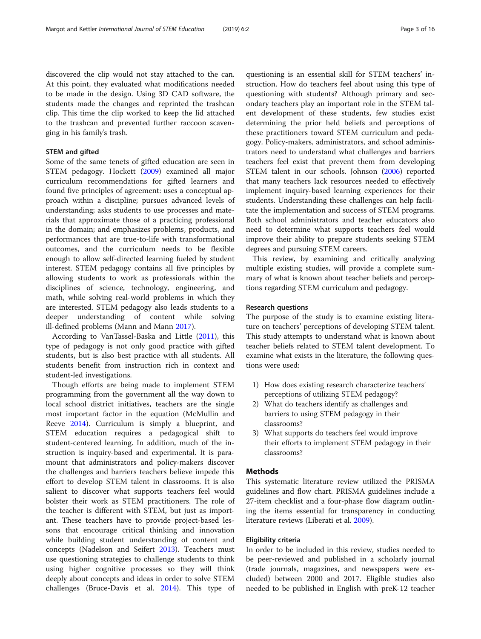discovered the clip would not stay attached to the can. At this point, they evaluated what modifications needed to be made in the design. Using 3D CAD software, the students made the changes and reprinted the trashcan clip. This time the clip worked to keep the lid attached to the trashcan and prevented further raccoon scavenging in his family's trash.

#### STEM and gifted

Some of the same tenets of gifted education are seen in STEM pedagogy. Hockett [\(2009\)](#page-15-0) examined all major curriculum recommendations for gifted learners and found five principles of agreement: uses a conceptual approach within a discipline; pursues advanced levels of understanding; asks students to use processes and materials that approximate those of a practicing professional in the domain; and emphasizes problems, products, and performances that are true-to-life with transformational outcomes, and the curriculum needs to be flexible enough to allow self-directed learning fueled by student interest. STEM pedagogy contains all five principles by allowing students to work as professionals within the disciplines of science, technology, engineering, and math, while solving real-world problems in which they are interested. STEM pedagogy also leads students to a deeper understanding of content while solving ill-defined problems (Mann and Mann [2017](#page-15-0)).

According to VanTassel-Baska and Little [\(2011\)](#page-15-0), this type of pedagogy is not only good practice with gifted students, but is also best practice with all students. All students benefit from instruction rich in context and student-led investigations.

Though efforts are being made to implement STEM programming from the government all the way down to local school district initiatives, teachers are the single most important factor in the equation (McMullin and Reeve [2014\)](#page-15-0). Curriculum is simply a blueprint, and STEM education requires a pedagogical shift to student-centered learning. In addition, much of the instruction is inquiry-based and experimental. It is paramount that administrators and policy-makers discover the challenges and barriers teachers believe impede this effort to develop STEM talent in classrooms. It is also salient to discover what supports teachers feel would bolster their work as STEM practitioners. The role of the teacher is different with STEM, but just as important. These teachers have to provide project-based lessons that encourage critical thinking and innovation while building student understanding of content and concepts (Nadelson and Seifert [2013\)](#page-15-0). Teachers must use questioning strategies to challenge students to think using higher cognitive processes so they will think deeply about concepts and ideas in order to solve STEM challenges (Bruce-Davis et al. [2014\)](#page-14-0). This type of

questioning is an essential skill for STEM teachers' instruction. How do teachers feel about using this type of questioning with students? Although primary and secondary teachers play an important role in the STEM talent development of these students, few studies exist determining the prior held beliefs and perceptions of these practitioners toward STEM curriculum and pedagogy. Policy-makers, administrators, and school administrators need to understand what challenges and barriers teachers feel exist that prevent them from developing STEM talent in our schools. Johnson ([2006](#page-15-0)) reported that many teachers lack resources needed to effectively implement inquiry-based learning experiences for their students. Understanding these challenges can help facilitate the implementation and success of STEM programs. Both school administrators and teacher educators also need to determine what supports teachers feel would improve their ability to prepare students seeking STEM degrees and pursuing STEM careers.

This review, by examining and critically analyzing multiple existing studies, will provide a complete summary of what is known about teacher beliefs and perceptions regarding STEM curriculum and pedagogy.

#### Research questions

The purpose of the study is to examine existing literature on teachers' perceptions of developing STEM talent. This study attempts to understand what is known about teacher beliefs related to STEM talent development. To examine what exists in the literature, the following questions were used:

- 1) How does existing research characterize teachers' perceptions of utilizing STEM pedagogy?
- 2) What do teachers identify as challenges and barriers to using STEM pedagogy in their classrooms?
- 3) What supports do teachers feel would improve their efforts to implement STEM pedagogy in their classrooms?

#### **Methods**

This systematic literature review utilized the PRISMA guidelines and flow chart. PRISMA guidelines include a 27-item checklist and a four-phase flow diagram outlining the items essential for transparency in conducting literature reviews (Liberati et al. [2009\)](#page-15-0).

#### Eligibility criteria

In order to be included in this review, studies needed to be peer-reviewed and published in a scholarly journal (trade journals, magazines, and newspapers were excluded) between 2000 and 2017. Eligible studies also needed to be published in English with preK-12 teacher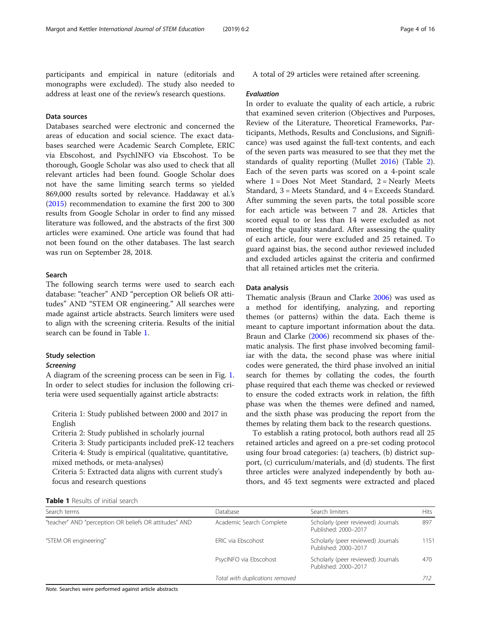participants and empirical in nature (editorials and monographs were excluded). The study also needed to address at least one of the review's research questions.

#### Data sources

Databases searched were electronic and concerned the areas of education and social science. The exact databases searched were Academic Search Complete, ERIC via Ebscohost, and PsychINFO via Ebscohost. To be thorough, Google Scholar was also used to check that all relevant articles had been found. Google Scholar does not have the same limiting search terms so yielded 869,000 results sorted by relevance. Haddaway et al.'s ([2015](#page-15-0)) recommendation to examine the first 200 to 300 results from Google Scholar in order to find any missed literature was followed, and the abstracts of the first 300 articles were examined. One article was found that had not been found on the other databases. The last search was run on September 28, 2018.

#### Search

The following search terms were used to search each database: "teacher" AND "perception OR beliefs OR attitudes" AND "STEM OR engineering." All searches were made against article abstracts. Search limiters were used to align with the screening criteria. Results of the initial search can be found in Table 1.

#### Study selection

#### **Screening**

A diagram of the screening process can be seen in Fig. [1](#page-4-0). In order to select studies for inclusion the following criteria were used sequentially against article abstracts:

Criteria 1: Study published between 2000 and 2017 in English

Criteria 2: Study published in scholarly journal

Criteria 3: Study participants included preK-12 teachers Criteria 4: Study is empirical (qualitative, quantitative, mixed methods, or meta-analyses)

Criteria 5: Extracted data aligns with current study's focus and research questions

A total of 29 articles were retained after screening.

#### Evaluation

In order to evaluate the quality of each article, a rubric that examined seven criterion (Objectives and Purposes, Review of the Literature, Theoretical Frameworks, Participants, Methods, Results and Conclusions, and Significance) was used against the full-text contents, and each of the seven parts was measured to see that they met the standards of quality reporting (Mullet [2016\)](#page-15-0) (Table [2](#page-5-0)). Each of the seven parts was scored on a 4-point scale where  $1 = Does Not Meet Standard, 2 = Nearly Meets$ Standard, 3 = Meets Standard, and 4 = Exceeds Standard. After summing the seven parts, the total possible score for each article was between 7 and 28. Articles that scored equal to or less than 14 were excluded as not meeting the quality standard. After assessing the quality of each article, four were excluded and 25 retained. To guard against bias, the second author reviewed included and excluded articles against the criteria and confirmed that all retained articles met the criteria.

#### Data analysis

Thematic analysis (Braun and Clarke [2006](#page-14-0)) was used as a method for identifying, analyzing, and reporting themes (or patterns) within the data. Each theme is meant to capture important information about the data. Braun and Clarke [\(2006](#page-14-0)) recommend six phases of thematic analysis. The first phase involved becoming familiar with the data, the second phase was where initial codes were generated, the third phase involved an initial search for themes by collating the codes, the fourth phase required that each theme was checked or reviewed to ensure the coded extracts work in relation, the fifth phase was when the themes were defined and named, and the sixth phase was producing the report from the themes by relating them back to the research questions.

To establish a rating protocol, both authors read all 25 retained articles and agreed on a pre-set coding protocol using four broad categories: (a) teachers, (b) district support, (c) curriculum/materials, and (d) students. The first three articles were analyzed independently by both authors, and 45 text segments were extracted and placed

| Table 1 Results of initial search |
|-----------------------------------|
|-----------------------------------|

| Search terms                                           | Database                        | Search limiters                                            | Hits |
|--------------------------------------------------------|---------------------------------|------------------------------------------------------------|------|
| "teacher" AND "perception OR beliefs OR attitudes" AND | Academic Search Complete        | Scholarly (peer reviewed) Journals<br>Published: 2000-2017 | 897  |
| "STEM OR engineering"                                  | ERIC via Ebscohost              | Scholarly (peer reviewed) Journals<br>Published: 2000-2017 | 1151 |
|                                                        | PsycINFO via Ebscohost          | Scholarly (peer reviewed) Journals<br>Published: 2000-2017 | 470  |
|                                                        | Total with duplications removed |                                                            | 712  |

Note. Searches were performed against article abstracts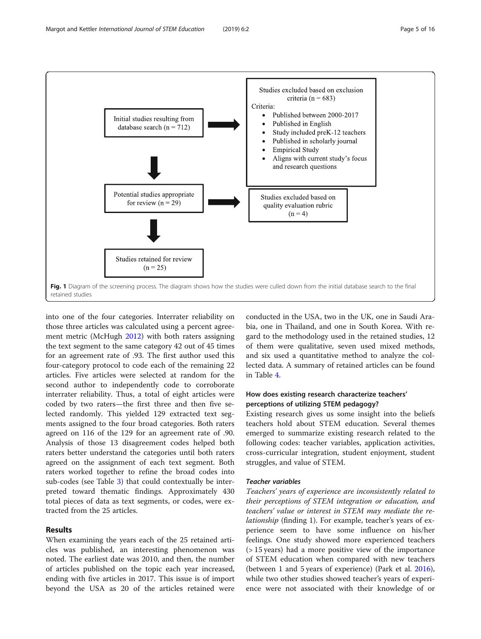<span id="page-4-0"></span>

into one of the four categories. Interrater reliability on those three articles was calculated using a percent agreement metric (McHugh [2012\)](#page-15-0) with both raters assigning the text segment to the same category 42 out of 45 times for an agreement rate of .93. The first author used this four-category protocol to code each of the remaining 22 articles. Five articles were selected at random for the second author to independently code to corroborate interrater reliability. Thus, a total of eight articles were coded by two raters—the first three and then five selected randomly. This yielded 129 extracted text segments assigned to the four broad categories. Both raters agreed on 116 of the 129 for an agreement rate of .90. Analysis of those 13 disagreement codes helped both raters better understand the categories until both raters agreed on the assignment of each text segment. Both raters worked together to refine the broad codes into sub-codes (see Table [3\)](#page-5-0) that could contextually be interpreted toward thematic findings. Approximately 430 total pieces of data as text segments, or codes, were extracted from the 25 articles.

## Results

When examining the years each of the 25 retained articles was published, an interesting phenomenon was noted. The earliest date was 2010, and then, the number of articles published on the topic each year increased, ending with five articles in 2017. This issue is of import beyond the USA as 20 of the articles retained were

conducted in the USA, two in the UK, one in Saudi Arabia, one in Thailand, and one in South Korea. With regard to the methodology used in the retained studies, 12 of them were qualitative, seven used mixed methods, and six used a quantitative method to analyze the collected data. A summary of retained articles can be found in Table [4.](#page-6-0)

## How does existing research characterize teachers' perceptions of utilizing STEM pedagogy?

Existing research gives us some insight into the beliefs teachers hold about STEM education. Several themes emerged to summarize existing research related to the following codes: teacher variables, application activities, cross-curricular integration, student enjoyment, student struggles, and value of STEM.

#### Teacher variables

Teachers' years of experience are inconsistently related to their perceptions of STEM integration or education, and teachers' value or interest in STEM may mediate the relationship (finding 1). For example, teacher's years of experience seem to have some influence on his/her feelings. One study showed more experienced teachers (> 15 years) had a more positive view of the importance of STEM education when compared with new teachers (between 1 and 5 years of experience) (Park et al. [2016](#page-15-0)), while two other studies showed teacher's years of experience were not associated with their knowledge of or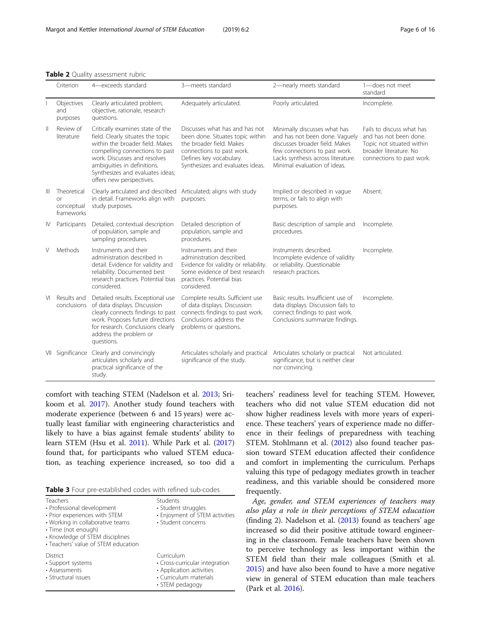<span id="page-5-0"></span>

|  |  | <b>Table 2</b> Quality assessment rubric |  |
|--|--|------------------------------------------|--|
|--|--|------------------------------------------|--|

|              | Criterion                                            | 4-exceeds standard                                                                                                                                                                                                                                                        | 3-meets standard                                                                                                                                                                           | 2-nearly meets standard                                                                                                                                                                                 | 1-does not meet<br>standard                                                                                                             |
|--------------|------------------------------------------------------|---------------------------------------------------------------------------------------------------------------------------------------------------------------------------------------------------------------------------------------------------------------------------|--------------------------------------------------------------------------------------------------------------------------------------------------------------------------------------------|---------------------------------------------------------------------------------------------------------------------------------------------------------------------------------------------------------|-----------------------------------------------------------------------------------------------------------------------------------------|
|              | Objectives<br>and<br>purposes                        | Clearly articulated problem,<br>objective, rationale, research<br>questions.                                                                                                                                                                                              | Adequately articulated.                                                                                                                                                                    | Poorly articulated.                                                                                                                                                                                     | Incomplete.                                                                                                                             |
| $\mathbb{I}$ | Review of<br>literature                              | Critically examines state of the<br>field. Clearly situates the topic<br>within the broader field. Makes<br>compelling connections to past<br>work. Discusses and resolves<br>ambiguities in definitions.<br>Synthesizes and evaluates ideas;<br>offers new perspectives. | Discusses what has and has not<br>been done. Situates topic within<br>the broader field. Makes<br>connections to past work.<br>Defines key vocabulary.<br>Synthesizes and evaluates ideas. | Minimally discusses what has<br>and has not been done. Vaguely<br>discusses broader field. Makes<br>few connections to past work.<br>Lacks synthesis across literature.<br>Minimal evaluation of ideas. | Fails to discuss what has<br>and has not been done.<br>Topic not situated within<br>broader literature. No<br>connections to past work. |
| $\mathbb{H}$ | Theoretical<br><b>or</b><br>conceptual<br>frameworks | Clearly articulated and described<br>in detail. Frameworks align with<br>study purposes.                                                                                                                                                                                  | Articulated; aligns with study<br>purposes.                                                                                                                                                | Implied or described in vague<br>terms, or fails to align with<br>purposes.                                                                                                                             | Absent.                                                                                                                                 |
| IV           | Participants                                         | Detailed, contextual description<br>of population, sample and<br>sampling procedures.                                                                                                                                                                                     | Detailed description of<br>population, sample and<br>procedures.                                                                                                                           | Basic description of sample and<br>procedures.                                                                                                                                                          | Incomplete.                                                                                                                             |
| V            | Methods                                              | Instruments and their<br>administration described in<br>detail. Evidence for validity and<br>reliability. Documented best<br>research practices. Potential bias<br>considered.                                                                                            | Instruments and their<br>administration described.<br>Evidence for validity or reliability.<br>Some evidence of best research<br>practices. Potential bias<br>considered.                  | Instruments described.<br>Incomplete evidence of validity<br>or reliability. Questionable<br>research practices.                                                                                        | Incomplete.                                                                                                                             |
| VI           | Results and<br>conclusions                           | Detailed results. Exceptional use<br>of data displays. Discussion<br>clearly connects findings to past<br>work. Proposes future directions<br>for research. Conclusions clearly<br>address the problem or<br>questions.                                                   | Complete results. Sufficient use<br>of data displays. Discussion<br>connects findings to past work.<br>Conclusions address the<br>problems or questions.                                   | Basic results. Insufficient use of<br>data displays. Discussion fails to<br>connect findings to past work.<br>Conclusions summarize findings.                                                           | Incomplete.                                                                                                                             |
|              |                                                      | VII Significance Clearly and convincingly<br>articulates scholarly and<br>practical significance of the<br>study.                                                                                                                                                         | Articulates scholarly and practical<br>significance of the study.                                                                                                                          | Articulates scholarly or practical<br>significance, but is neither clear<br>nor convincing.                                                                                                             | Not articulated.                                                                                                                        |

comfort with teaching STEM (Nadelson et al. [2013](#page-15-0); Srikoom et al. [2017](#page-15-0)). Another study found teachers with moderate experience (between 6 and 15 years) were actually least familiar with engineering characteristics and likely to have a bias against female students' ability to learn STEM (Hsu et al. [2011](#page-15-0)). While Park et al. ([2017](#page-15-0)) found that, for participants who valued STEM education, as teaching experience increased, so too did a

| Teachers<br>• Professional development<br>• Prior experiences with STEM<br>• Working in collaborative teams<br>· Time (not enough)<br>• Knowledge of STEM disciplines<br>• Teachers' value of STEM education | Students<br>· Student struggles<br>• Enjoyment of STEM activities<br>· Student concerns                               |
|--------------------------------------------------------------------------------------------------------------------------------------------------------------------------------------------------------------|-----------------------------------------------------------------------------------------------------------------------|
| District<br>• Support systems<br>• Assessments<br>• Structural issues                                                                                                                                        | Curriculum<br>• Cross-curricular integration<br>• Application activities<br>• Curriculum materials<br>• STEM pedagogy |

teachers' readiness level for teaching STEM. However, teachers who did not value STEM education did not show higher readiness levels with more years of experience. These teachers' years of experience made no difference in their feelings of preparedness with teaching STEM. Stohlmann et al. [\(2012](#page-15-0)) also found teacher passion toward STEM education affected their confidence and comfort in implementing the curriculum. Perhaps valuing this type of pedagogy mediates growth in teacher readiness, and this variable should be considered more frequently.

Age, gender, and STEM experiences of teachers may also play a role in their perceptions of STEM education (finding 2). Nadelson et al. ([2013](#page-15-0)) found as teachers' age increased so did their positive attitude toward engineering in the classroom. Female teachers have been shown to perceive technology as less important within the STEM field than their male colleagues (Smith et al. [2015](#page-15-0)) and have also been found to have a more negative view in general of STEM education than male teachers (Park et al. [2016\)](#page-15-0).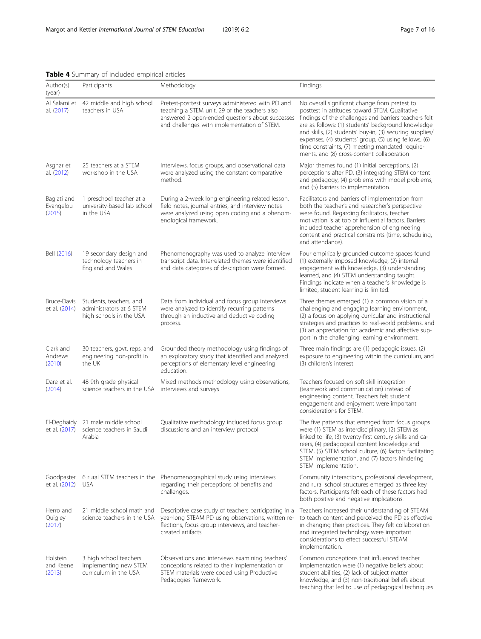<span id="page-6-0"></span>

|  |  | Table 4 Summary of included empirical articles |  |  |
|--|--|------------------------------------------------|--|--|
|--|--|------------------------------------------------|--|--|

| Author(s)<br>(year)                | Participants                                                                   | Methodology                                                                                                                                                                                          | Findings                                                                                                                                                                                                                                                                                                                                                                                                                             |
|------------------------------------|--------------------------------------------------------------------------------|------------------------------------------------------------------------------------------------------------------------------------------------------------------------------------------------------|--------------------------------------------------------------------------------------------------------------------------------------------------------------------------------------------------------------------------------------------------------------------------------------------------------------------------------------------------------------------------------------------------------------------------------------|
| Al Salami et<br>al. (2017)         | 42 middle and high school<br>teachers in USA                                   | Pretest-posttest surveys administered with PD and<br>teaching a STEM unit. 29 of the teachers also<br>answered 2 open-ended questions about successes<br>and challenges with implementation of STEM. | No overall significant change from pretest to<br>posttest in attitudes toward STEM. Qualitative<br>findings of the challenges and barriers teachers felt<br>are as follows: (1) students' background knowledge<br>and skills, (2) students' buy-in, (3) securing supplies/<br>expenses, (4) students' group, (5) using fellows, (6)<br>time constraints, (7) meeting mandated require-<br>ments, and (8) cross-content collaboration |
| Asghar et<br>al. (2012)            | 25 teachers at a STEM<br>workshop in the USA                                   | Interviews, focus groups, and observational data<br>were analyzed using the constant comparative<br>method.                                                                                          | Major themes found (1) initial perceptions, (2)<br>perceptions after PD, (3) integrating STEM content<br>and pedagogy, (4) problems with model problems,<br>and (5) barriers to implementation.                                                                                                                                                                                                                                      |
| Bagiati and<br>Evangelou<br>(2015) | 1 preschool teacher at a<br>university-based lab school<br>in the USA          | During a 2-week long engineering related lesson,<br>field notes, journal entries, and interview notes<br>were analyzed using open coding and a phenom-<br>enological framework.                      | Facilitators and barriers of implementation from<br>both the teacher's and researcher's perspective<br>were found. Regarding facilitators, teacher<br>motivation is at top of influential factors. Barriers<br>included teacher apprehension of engineering<br>content and practical constraints (time, scheduling,<br>and attendance).                                                                                              |
| Bell (2016)                        | 19 secondary design and<br>technology teachers in<br>England and Wales         | Phenomenography was used to analyze interview<br>transcript data. Interrelated themes were identified<br>and data categories of description were formed.                                             | Four empirically grounded outcome spaces found<br>(1) externally imposed knowledge, (2) internal<br>engagement with knowledge, (3) understanding<br>learned, and (4) STEM understanding taught.<br>Findings indicate when a teacher's knowledge is<br>limited, student learning is limited.                                                                                                                                          |
| Bruce-Davis<br>et al. (2014)       | Students, teachers, and<br>administrators at 6 STEM<br>high schools in the USA | Data from individual and focus group interviews<br>were analyzed to identify recurring patterns<br>through an inductive and deductive coding<br>process.                                             | Three themes emerged (1) a common vision of a<br>challenging and engaging learning environment,<br>(2) a focus on applying curricular and instructional<br>strategies and practices to real-world problems, and<br>(3) an appreciation for academic and affective sup-<br>port in the challenging learning environment.                                                                                                              |
| Clark and<br>Andrews<br>(2010)     | 30 teachers, govt. reps, and<br>engineering non-profit in<br>the UK            | Grounded theory methodology using findings of<br>an exploratory study that identified and analyzed<br>perceptions of elementary level engineering<br>education.                                      | Three main findings are (1) pedagogic issues, (2)<br>exposure to engineering within the curriculum, and<br>(3) children's interest                                                                                                                                                                                                                                                                                                   |
| Dare et al.<br>(2014)              | 48 9th grade physical<br>science teachers in the USA                           | Mixed methods methodology using observations,<br>interviews and surveys                                                                                                                              | Teachers focused on soft skill integration<br>(teamwork and communication) instead of<br>engineering content. Teachers felt student<br>engagement and enjoyment were important<br>considerations for STEM.                                                                                                                                                                                                                           |
| El-Deghaidy                        | 21 male middle school<br>et al. (2017) science teachers in Saudi<br>Arabia     | Qualitative methodology included focus group<br>discussions and an interview protocol.                                                                                                               | The five patterns that emerged from focus groups<br>were (1) STEM as interdisciplinary, (2) STEM as<br>linked to life, (3) twenty-first century skills and ca-<br>reers, (4) pedagogical content knowledge and<br>STEM, (5) STEM school culture, (6) factors facilitating<br>STEM implementation, and (7) factors hindering<br>STEM implementation.                                                                                  |
| Goodpaster<br>et al. (2012)        | <b>USA</b>                                                                     | 6 rural STEM teachers in the Phenomenographical study using interviews<br>regarding their perceptions of benefits and<br>challenges.                                                                 | Community interactions, professional development,<br>and rural school structures emerged as three key<br>factors. Participants felt each of these factors had<br>both positive and negative implications.                                                                                                                                                                                                                            |
| Herro and<br>Quigley<br>(2017)     | 21 middle school math and<br>science teachers in the USA                       | Descriptive case study of teachers participating in a<br>year-long STEAM PD using observations, written re-<br>flections, focus group interviews, and teacher-<br>created artifacts.                 | Teachers increased their understanding of STEAM<br>to teach content and perceived the PD as effective<br>in changing their practices. They felt collaboration<br>and integrated technology were important<br>considerations to effect successful STEAM<br>implementation.                                                                                                                                                            |
| Holstein<br>and Keene<br>(2013)    | 3 high school teachers<br>implementing new STEM<br>curriculum in the USA       | Observations and interviews examining teachers'<br>conceptions related to their implementation of<br>STEM materials were coded using Productive<br>Pedagogies framework.                             | Common conceptions that influenced teacher<br>implementation were (1) negative beliefs about<br>student abilities, (2) lack of subject matter<br>knowledge, and (3) non-traditional beliefs about<br>teaching that led to use of pedagogical techniques                                                                                                                                                                              |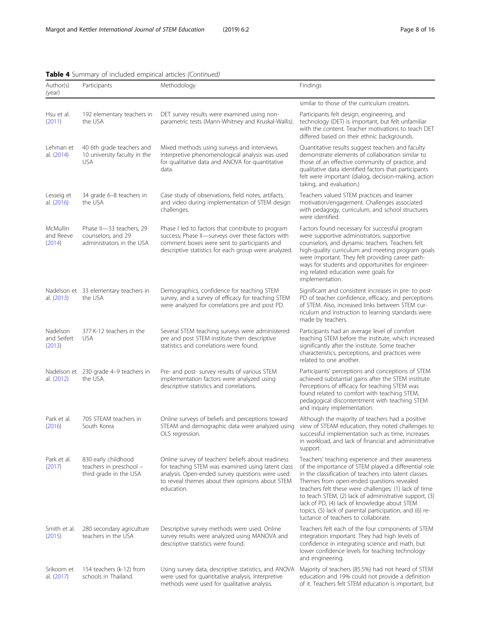#### Author(s) (year) Participants Methodology **Methodology Findings** similar to those of the curriculum creators. Hsu et al. ([2011](#page-15-0)) 192 elementary teachers in the USA DET survey results were examined using nonparametric tests (Mann-Whitney and Kruskal-Wallis). Participants felt design, engineering, and technology (DET) is important, but felt unfamiliar with the content. Teacher motivations to teach DET differed based on their ethnic backgrounds. Lehman et al. ([2014\)](#page-15-0) 40 6th grade teachers and 10 university faculty in the USA Mixed methods using surveys and interviews. Interpretive phenomenological analysis was used for qualitative data and ANOVA for quantitative data. Quantitative results suggest teachers and faculty demonstrate elements of collaboration similar to those of an effective community of practice, and qualitative data identified factors that participants felt were important (dialog, decision-making, action taking, and evaluation.) Lesseig et al. ([2016\)](#page-15-0) 34 grade 6–8 teachers in the USA Case study of observations, field notes, artifacts, and video during implementation of STEM design challenges. Teachers valued STEM practices and learner motivation/engagement. Challenges associated with pedagogy, curriculum, and school structures were identified. McMullin and Reeve ([2014](#page-15-0)) Phase II-33 teachers, 29 counselors, and 29 administrators in the USA Phase I led to factors that contribute to program success; Phase II—surveys over these factors with comment boxes were sent to participants and descriptive statistics for each group were analyzed. Factors found necessary for successful program were supportive administrators, supportive counselors, and dynamic teachers. Teachers felt high-quality curriculum and meeting program goals were important. They felt providing career pathways for students and opportunities for engineering related education were goals for implementation. Nadelson et 33 elementary teachers in al. ([2013\)](#page-15-0) the USA Demographics, confidence for teaching STEM survey, and a survey of efficacy for teaching STEM were analyzed for correlations pre and post PD. Significant and consistent increases in pre- to post-PD of teacher confidence, efficacy, and perceptions of STEM. Also, increased links between STEM curriculum and instruction to learning standards were made by teachers. Nadelson and Seifert ([2013\)](#page-15-0) 377 K-12 teachers in the USA Several STEM teaching surveys were administered pre and post STEM institute then descriptive statistics and correlations were found. Participants had an average level of comfort teaching STEM before the institute, which increased significantly after the institute. Some teacher characteristics, perceptions, and practices were related to one another. Nadelson et 230 grade 4–9 teachers in al. ([2012\)](#page-15-0) the USA. Pre- and post- survey results of various STEM implementation factors were analyzed using descriptive statistics and correlations. Participants' perceptions and conceptions of STEM achieved substantial gains after the STEM institute. Perceptions of efficacy for teaching STEM was found related to comfort with teaching STEM, pedagogical discontentment with teaching STEM and inquiry implementation. Park et al. ([2016](#page-15-0)) 705 STEAM teachers in South Korea Online surveys of beliefs and perceptions toward STEAM and demographic data were analyzed using OLS regression. Although the majority of teachers had a positive view of STEAM education, they noted challenges to successful implementation such as time, increases in workload, and lack of financial and administrative support. Park et al. ([2017](#page-15-0)) 830 early childhood teachers in preschool – third grade in the USA Online survey of teachers' beliefs about readiness for teaching STEM was examined using latent class analysis. Open-ended survey questions were used to reveal themes about their opinions about STEM education. Teachers' teaching experience and their awareness of the importance of STEM played a differential role in the classification of teachers into latent classes. Themes from open-ended questions revealed teachers felt these were challenges: (1) lack of time to teach STEM, (2) lack of administrative support, (3) lack of PD, (4) lack of knowledge about STEM topics, (5) lack of parental participation, and (6) reluctance of teachers to collaborate. Smith et al. ([2015](#page-15-0)) 280 secondary agriculture teachers in the USA Descriptive survey methods were used. Online survey results were analyzed using MANOVA and descriptive statistics were found. Teachers felt each of the four components of STEM integration important. They had high levels of confidence in integrating science and math, but lower confidence levels for teaching technology and engineering. Srikoom et al. ([2017\)](#page-15-0) 154 teachers (k-12) from schools in Thailand. Using survey data, descriptive statistics, and ANOVA were used for quantitative analysis. Interpretive methods were used for qualitative analysis. Majority of teachers (85.5%) had not heard of STEM education and 19% could not provide a definition of it. Teachers felt STEM education is important, but

#### Table 4 Summary of included empirical articles (Continued)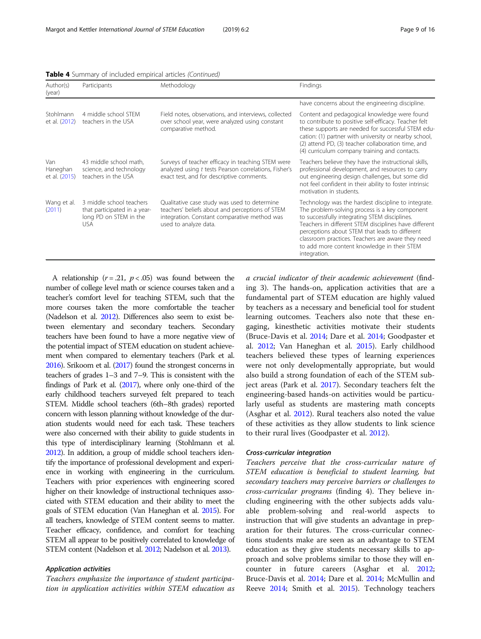| Author(s)<br>(year)              | Participants                                                                                     | Methodology                                                                                                                                                              | Findings                                                                                                                                                                                                                                                                                                                                                                              |
|----------------------------------|--------------------------------------------------------------------------------------------------|--------------------------------------------------------------------------------------------------------------------------------------------------------------------------|---------------------------------------------------------------------------------------------------------------------------------------------------------------------------------------------------------------------------------------------------------------------------------------------------------------------------------------------------------------------------------------|
|                                  |                                                                                                  |                                                                                                                                                                          | have concerns about the engineering discipline.                                                                                                                                                                                                                                                                                                                                       |
| Stohlmann<br>et al. (2012)       | 4 middle school STEM<br>teachers in the USA                                                      | Field notes, observations, and interviews, collected<br>over school year, were analyzed using constant<br>comparative method.                                            | Content and pedagogical knowledge were found<br>to contribute to positive self-efficacy. Teacher felt<br>these supports are needed for successful STEM edu-<br>cation: (1) partner with university or nearby school,<br>(2) attend PD, (3) teacher collaboration time, and<br>(4) curriculum company training and contacts.                                                           |
| Van<br>Haneghan<br>et al. (2015) | 43 middle school math,<br>science, and technology<br>teachers in the USA                         | Surveys of teacher efficacy in teaching STEM were<br>analyzed using t tests Pearson correlations, Fisher's<br>exact test, and for descriptive comments.                  | Teachers believe they have the instructional skills,<br>professional development, and resources to carry<br>out engineering design challenges, but some did<br>not feel confident in their ability to foster intrinsic<br>motivation in students.                                                                                                                                     |
| Wang et al.<br>(2011)            | 3 middle school teachers<br>that participated in a year-<br>long PD on STEM in the<br><b>USA</b> | Qualitative case study was used to determine<br>teachers' beliefs about and perceptions of STEM<br>integration. Constant comparative method was<br>used to analyze data. | Technology was the hardest discipline to integrate.<br>The problem-solving process is a key component<br>to successfully integrating STEM disciplines.<br>Teachers in different STEM disciplines have different<br>perceptions about STEM that leads to different<br>classroom practices. Teachers are aware they need<br>to add more content knowledge in their STEM<br>integration. |

Table 4 Summary of included empirical articles (Continued)

A relationship ( $r = .21$ ,  $p < .05$ ) was found between the number of college level math or science courses taken and a teacher's comfort level for teaching STEM, such that the more courses taken the more comfortable the teacher (Nadelson et al. [2012](#page-15-0)). Differences also seem to exist between elementary and secondary teachers. Secondary teachers have been found to have a more negative view of the potential impact of STEM education on student achievement when compared to elementary teachers (Park et al. [2016](#page-15-0)). Srikoom et al. ([2017](#page-15-0)) found the strongest concerns in teachers of grades 1–3 and 7–9. This is consistent with the findings of Park et al. [\(2017](#page-15-0)), where only one-third of the early childhood teachers surveyed felt prepared to teach STEM. Middle school teachers (6th–8th grades) reported concern with lesson planning without knowledge of the duration students would need for each task. These teachers were also concerned with their ability to guide students in this type of interdisciplinary learning (Stohlmann et al. [2012](#page-15-0)). In addition, a group of middle school teachers identify the importance of professional development and experience in working with engineering in the curriculum. Teachers with prior experiences with engineering scored higher on their knowledge of instructional techniques associated with STEM education and their ability to meet the goals of STEM education (Van Haneghan et al. [2015\)](#page-15-0). For all teachers, knowledge of STEM content seems to matter. Teacher efficacy, confidence, and comfort for teaching STEM all appear to be positively correlated to knowledge of STEM content (Nadelson et al. [2012;](#page-15-0) Nadelson et al. [2013\)](#page-15-0).

#### Application activities

Teachers emphasize the importance of student participation in application activities within STEM education as a crucial indicator of their academic achievement (finding 3). The hands-on, application activities that are a fundamental part of STEM education are highly valued by teachers as a necessary and beneficial tool for student learning outcomes. Teachers also note that these engaging, kinesthetic activities motivate their students (Bruce-Davis et al. [2014;](#page-14-0) Dare et al. [2014;](#page-14-0) Goodpaster et al. [2012;](#page-14-0) Van Haneghan et al. [2015](#page-15-0)). Early childhood teachers believed these types of learning experiences were not only developmentally appropriate, but would also build a strong foundation of each of the STEM subject areas (Park et al. [2017\)](#page-15-0). Secondary teachers felt the engineering-based hands-on activities would be particularly useful as students are mastering math concepts (Asghar et al. [2012\)](#page-14-0). Rural teachers also noted the value of these activities as they allow students to link science to their rural lives (Goodpaster et al. [2012](#page-14-0)).

#### Cross-curricular integration

Teachers perceive that the cross-curricular nature of STEM education is beneficial to student learning, but secondary teachers may perceive barriers or challenges to cross-curricular programs (finding 4). They believe including engineering with the other subjects adds valuable problem-solving and real-world aspects to instruction that will give students an advantage in preparation for their futures. The cross-curricular connections students make are seen as an advantage to STEM education as they give students necessary skills to approach and solve problems similar to those they will encounter in future careers (Asghar et al. [2012](#page-14-0); Bruce-Davis et al. [2014](#page-14-0); Dare et al. [2014](#page-14-0); McMullin and Reeve [2014](#page-15-0); Smith et al. [2015](#page-15-0)). Technology teachers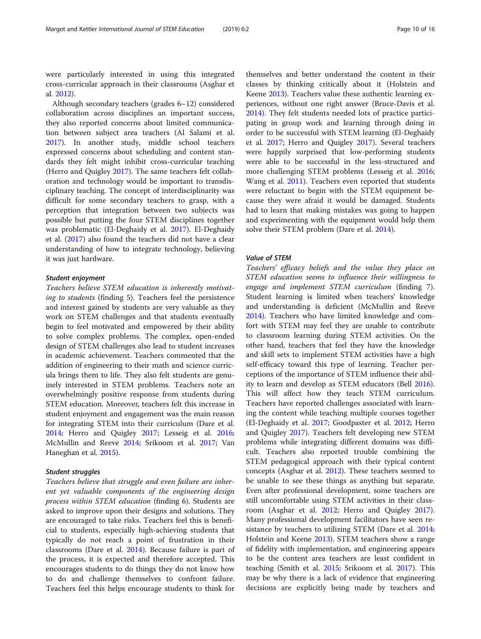were particularly interested in using this integrated cross-curricular approach in their classrooms (Asghar et al. [2012](#page-14-0)).

Although secondary teachers (grades 6–12) considered collaboration across disciplines an important success, they also reported concerns about limited communication between subject area teachers (Al Salami et al. [2017](#page-14-0)). In another study, middle school teachers expressed concerns about scheduling and content standards they felt might inhibit cross-curricular teaching (Herro and Quigley [2017](#page-15-0)). The same teachers felt collaboration and technology would be important to transdisciplinary teaching. The concept of interdisciplinarity was difficult for some secondary teachers to grasp, with a perception that integration between two subjects was possible but putting the four STEM disciplines together was problematic (El-Deghaidy et al. [2017](#page-14-0)). El-Deghaidy et al. [\(2017\)](#page-14-0) also found the teachers did not have a clear understanding of how to integrate technology, believing it was just hardware.

#### Student enjoyment

Teachers believe STEM education is inherently motivating to students (finding 5). Teachers feel the persistence and interest gained by students are very valuable as they work on STEM challenges and that students eventually begin to feel motivated and empowered by their ability to solve complex problems. The complex, open-ended design of STEM challenges also lead to student increases in academic achievement. Teachers commented that the addition of engineering to their math and science curricula brings them to life. They also felt students are genuinely interested in STEM problems. Teachers note an overwhelmingly positive response from students during STEM education. Moreover, teachers felt this increase in student enjoyment and engagement was the main reason for integrating STEM into their curriculum (Dare et al. [2014](#page-14-0); Herro and Quigley [2017;](#page-15-0) Lesseig et al. [2016](#page-15-0); McMullin and Reeve [2014](#page-15-0); Srikoom et al. [2017](#page-15-0); Van Haneghan et al. [2015](#page-15-0)).

#### Student struggles

Teachers believe that struggle and even failure are inherent yet valuable components of the engineering design process within STEM education (finding 6). Students are asked to improve upon their designs and solutions. They are encouraged to take risks. Teachers feel this is beneficial to students, especially high-achieving students that typically do not reach a point of frustration in their classrooms (Dare et al. [2014](#page-14-0)). Because failure is part of the process, it is expected and therefore accepted. This encourages students to do things they do not know how to do and challenge themselves to confront failure. Teachers feel this helps encourage students to think for

themselves and better understand the content in their classes by thinking critically about it (Holstein and Keene [2013](#page-15-0)). Teachers value these authentic learning experiences, without one right answer (Bruce-Davis et al. [2014](#page-14-0)). They felt students needed lots of practice participating in group work and learning through doing in order to be successful with STEM learning (El-Deghaidy et al. [2017](#page-14-0); Herro and Quigley [2017](#page-15-0)). Several teachers were happily surprised that low-performing students were able to be successful in the less-structured and more challenging STEM problems (Lesseig et al. [2016](#page-15-0); Wang et al. [2011](#page-15-0)). Teachers even reported that students were reluctant to begin with the STEM equipment because they were afraid it would be damaged. Students had to learn that making mistakes was going to happen and experimenting with the equipment would help them solve their STEM problem (Dare et al. [2014](#page-14-0)).

#### Value of STEM

Teachers' efficacy beliefs and the value they place on STEM education seems to influence their willingness to engage and implement STEM curriculum (finding 7). Student learning is limited when teachers' knowledge and understanding is deficient (McMullin and Reeve [2014](#page-15-0)). Teachers who have limited knowledge and comfort with STEM may feel they are unable to contribute to classroom learning during STEM activities. On the other hand, teachers that feel they have the knowledge and skill sets to implement STEM activities have a high self-efficacy toward this type of learning. Teacher perceptions of the importance of STEM influence their ability to learn and develop as STEM educators (Bell [2016](#page-14-0)). This will affect how they teach STEM curriculum. Teachers have reported challenges associated with learning the content while teaching multiple courses together (El-Deghaidy et al. [2017](#page-14-0); Goodpaster et al. [2012;](#page-14-0) Herro and Quigley [2017](#page-15-0)). Teachers felt developing new STEM problems while integrating different domains was difficult. Teachers also reported trouble combining the STEM pedagogical approach with their typical content concepts (Asghar et al. [2012\)](#page-14-0). These teachers seemed to be unable to see these things as anything but separate. Even after professional development, some teachers are still uncomfortable using STEM activities in their classroom (Asghar et al. [2012;](#page-14-0) Herro and Quigley [2017](#page-15-0)). Many professional development facilitators have seen re-sistance by teachers to utilizing STEM (Dare et al. [2014](#page-14-0); Holstein and Keene [2013\)](#page-15-0). STEM teachers show a range of fidelity with implementation, and engineering appears to be the content area teachers are least confident in teaching (Smith et al. [2015](#page-15-0); Srikoom et al. [2017\)](#page-15-0). This may be why there is a lack of evidence that engineering decisions are explicitly being made by teachers and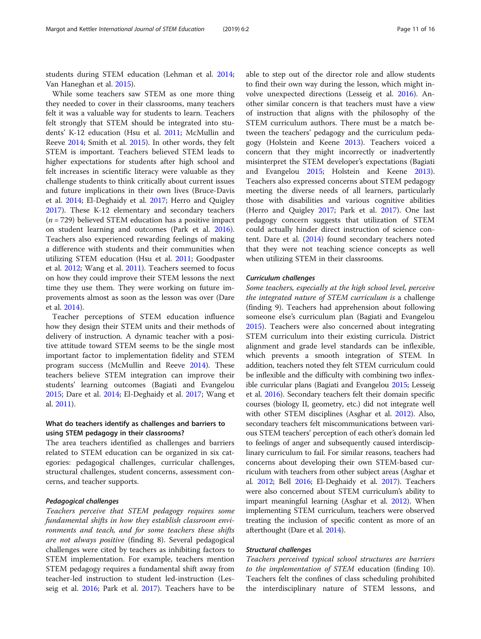students during STEM education (Lehman et al. [2014](#page-15-0); Van Haneghan et al. [2015](#page-15-0)).

While some teachers saw STEM as one more thing they needed to cover in their classrooms, many teachers felt it was a valuable way for students to learn. Teachers felt strongly that STEM should be integrated into students' K-12 education (Hsu et al. [2011](#page-15-0); McMullin and Reeve [2014;](#page-15-0) Smith et al. [2015](#page-15-0)). In other words, they felt STEM is important. Teachers believed STEM leads to higher expectations for students after high school and felt increases in scientific literacy were valuable as they challenge students to think critically about current issues and future implications in their own lives (Bruce-Davis et al. [2014](#page-14-0); El-Deghaidy et al. [2017](#page-14-0); Herro and Quigley [2017](#page-15-0)). These K-12 elementary and secondary teachers  $(n = 729)$  believed STEM education has a positive impact on student learning and outcomes (Park et al. [2016](#page-15-0)). Teachers also experienced rewarding feelings of making a difference with students and their communities when utilizing STEM education (Hsu et al. [2011;](#page-15-0) Goodpaster et al. [2012](#page-14-0); Wang et al. [2011](#page-15-0)). Teachers seemed to focus on how they could improve their STEM lessons the next time they use them. They were working on future improvements almost as soon as the lesson was over (Dare et al. [2014\)](#page-14-0).

Teacher perceptions of STEM education influence how they design their STEM units and their methods of delivery of instruction. A dynamic teacher with a positive attitude toward STEM seems to be the single most important factor to implementation fidelity and STEM program success (McMullin and Reeve [2014\)](#page-15-0). These teachers believe STEM integration can improve their students' learning outcomes (Bagiati and Evangelou [2015](#page-14-0); Dare et al. [2014;](#page-14-0) El-Deghaidy et al. [2017;](#page-14-0) Wang et al. [2011](#page-15-0)).

## What do teachers identify as challenges and barriers to using STEM pedagogy in their classrooms?

The area teachers identified as challenges and barriers related to STEM education can be organized in six categories: pedagogical challenges, curricular challenges, structural challenges, student concerns, assessment concerns, and teacher supports.

#### Pedagogical challenges

Teachers perceive that STEM pedagogy requires some fundamental shifts in how they establish classroom environments and teach, and for some teachers these shifts are not always positive (finding 8). Several pedagogical challenges were cited by teachers as inhibiting factors to STEM implementation. For example, teachers mention STEM pedagogy requires a fundamental shift away from teacher-led instruction to student led-instruction (Lesseig et al. [2016](#page-15-0); Park et al. [2017](#page-15-0)). Teachers have to be able to step out of the director role and allow students to find their own way during the lesson, which might involve unexpected directions (Lesseig et al. [2016](#page-15-0)). Another similar concern is that teachers must have a view of instruction that aligns with the philosophy of the STEM curriculum authors. There must be a match between the teachers' pedagogy and the curriculum pedagogy (Holstein and Keene [2013\)](#page-15-0). Teachers voiced a concern that they might incorrectly or inadvertently misinterpret the STEM developer's expectations (Bagiati and Evangelou [2015;](#page-14-0) Holstein and Keene [2013](#page-15-0)). Teachers also expressed concerns about STEM pedagogy meeting the diverse needs of all learners, particularly those with disabilities and various cognitive abilities (Herro and Quigley [2017](#page-15-0); Park et al. [2017](#page-15-0)). One last pedagogy concern suggests that utilization of STEM could actually hinder direct instruction of science content. Dare et al. [\(2014\)](#page-14-0) found secondary teachers noted that they were not teaching science concepts as well when utilizing STEM in their classrooms.

#### Curriculum challenges

Some teachers, especially at the high school level, perceive the integrated nature of STEM curriculum is a challenge (finding 9). Teachers had apprehension about following someone else's curriculum plan (Bagiati and Evangelou [2015](#page-14-0)). Teachers were also concerned about integrating STEM curriculum into their existing curricula. District alignment and grade level standards can be inflexible, which prevents a smooth integration of STEM. In addition, teachers noted they felt STEM curriculum could be inflexible and the difficulty with combining two inflexible curricular plans (Bagiati and Evangelou [2015;](#page-14-0) Lesseig et al. [2016](#page-15-0)). Secondary teachers felt their domain specific courses (biology II, geometry, etc.) did not integrate well with other STEM disciplines (Asghar et al. [2012\)](#page-14-0). Also, secondary teachers felt miscommunications between various STEM teachers' perception of each other's domain led to feelings of anger and subsequently caused interdisciplinary curriculum to fail. For similar reasons, teachers had concerns about developing their own STEM-based curriculum with teachers from other subject areas (Asghar et al. [2012](#page-14-0); Bell [2016;](#page-14-0) El-Deghaidy et al. [2017\)](#page-14-0). Teachers were also concerned about STEM curriculum's ability to impart meaningful learning (Asghar et al. [2012\)](#page-14-0). When implementing STEM curriculum, teachers were observed treating the inclusion of specific content as more of an afterthought (Dare et al. [2014\)](#page-14-0).

#### Structural challenges

Teachers perceived typical school structures are barriers to the implementation of STEM education (finding 10). Teachers felt the confines of class scheduling prohibited the interdisciplinary nature of STEM lessons, and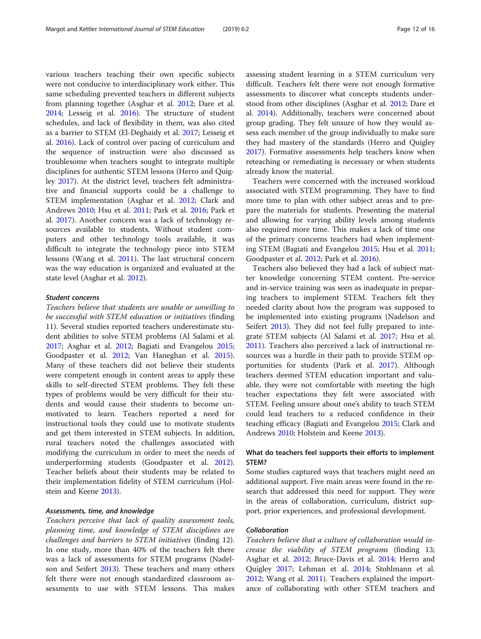various teachers teaching their own specific subjects were not conducive to interdisciplinary work either. This same scheduling prevented teachers in different subjects from planning together (Asghar et al. [2012;](#page-14-0) Dare et al. [2014](#page-14-0); Lesseig et al. [2016\)](#page-15-0). The structure of student schedules, and lack of flexibility in them, was also cited as a barrier to STEM (El-Deghaidy et al. [2017](#page-14-0); Lesseig et al. [2016\)](#page-15-0). Lack of control over pacing of curriculum and the sequence of instruction were also discussed as troublesome when teachers sought to integrate multiple disciplines for authentic STEM lessons (Herro and Quigley [2017\)](#page-15-0). At the district level, teachers felt administrative and financial supports could be a challenge to STEM implementation (Asghar et al. [2012](#page-14-0); Clark and Andrews [2010](#page-14-0); Hsu et al. [2011;](#page-15-0) Park et al. [2016](#page-15-0); Park et al. [2017](#page-15-0)). Another concern was a lack of technology resources available to students. Without student computers and other technology tools available, it was difficult to integrate the technology piece into STEM lessons (Wang et al. [2011](#page-15-0)). The last structural concern was the way education is organized and evaluated at the state level (Asghar et al. [2012](#page-14-0)).

#### Student concerns

Teachers believe that students are unable or unwilling to be successful with STEM education or initiatives (finding 11). Several studies reported teachers underestimate student abilities to solve STEM problems (Al Salami et al. [2017](#page-14-0); Asghar et al. [2012;](#page-14-0) Bagiati and Evangelou [2015](#page-14-0); Goodpaster et al. [2012;](#page-14-0) Van Haneghan et al. [2015](#page-15-0)). Many of these teachers did not believe their students were competent enough in content areas to apply these skills to self-directed STEM problems. They felt these types of problems would be very difficult for their students and would cause their students to become unmotivated to learn. Teachers reported a need for instructional tools they could use to motivate students and get them interested in STEM subjects. In addition, rural teachers noted the challenges associated with modifying the curriculum in order to meet the needs of underperforming students (Goodpaster et al. [2012](#page-14-0)). Teacher beliefs about their students may be related to their implementation fidelity of STEM curriculum (Holstein and Keene [2013\)](#page-15-0).

#### Assessments, time, and knowledge

Teachers perceive that lack of quality assessment tools, planning time, and knowledge of STEM disciplines are challenges and barriers to STEM initiatives (finding 12). In one study, more than 40% of the teachers felt there was a lack of assessments for STEM programs (Nadelson and Seifert [2013](#page-15-0)). These teachers and many others felt there were not enough standardized classroom assessments to use with STEM lessons. This makes assessing student learning in a STEM curriculum very difficult. Teachers felt there were not enough formative assessments to discover what concepts students understood from other disciplines (Asghar et al. [2012;](#page-14-0) Dare et al. [2014](#page-14-0)). Additionally, teachers were concerned about group grading. They felt unsure of how they would assess each member of the group individually to make sure they had mastery of the standards (Herro and Quigley [2017](#page-15-0)). Formative assessments help teachers know when reteaching or remediating is necessary or when students already know the material.

Teachers were concerned with the increased workload associated with STEM programming. They have to find more time to plan with other subject areas and to prepare the materials for students. Presenting the material and allowing for varying ability levels among students also required more time. This makes a lack of time one of the primary concerns teachers had when implementing STEM (Bagiati and Evangelou [2015;](#page-14-0) Hsu et al. [2011](#page-15-0); Goodpaster et al. [2012](#page-14-0); Park et al. [2016](#page-15-0)).

Teachers also believed they had a lack of subject matter knowledge concerning STEM content. Pre-service and in-service training was seen as inadequate in preparing teachers to implement STEM. Teachers felt they needed clarity about how the program was supposed to be implemented into existing programs (Nadelson and Seifert [2013\)](#page-15-0). They did not feel fully prepared to integrate STEM subjects (Al Salami et al. [2017](#page-14-0); Hsu et al. [2011](#page-15-0)). Teachers also perceived a lack of instructional resources was a hurdle in their path to provide STEM opportunities for students (Park et al. [2017\)](#page-15-0). Although teachers deemed STEM education important and valuable, they were not comfortable with meeting the high teacher expectations they felt were associated with STEM. Feeling unsure about one's ability to teach STEM could lead teachers to a reduced confidence in their teaching efficacy (Bagiati and Evangelou [2015;](#page-14-0) Clark and Andrews [2010;](#page-14-0) Holstein and Keene [2013\)](#page-15-0).

#### What do teachers feel supports their efforts to implement STEM?

Some studies captured ways that teachers might need an additional support. Five main areas were found in the research that addressed this need for support. They were in the areas of collaboration, curriculum, district support, prior experiences, and professional development.

#### Collaboration

Teachers believe that a culture of collaboration would increase the viability of STEM programs (finding 13; Asghar et al. [2012;](#page-14-0) Bruce-Davis et al. [2014](#page-14-0); Herro and Quigley [2017;](#page-15-0) Lehman et al. [2014](#page-15-0); Stohlmann et al. [2012](#page-15-0); Wang et al. [2011](#page-15-0)). Teachers explained the importance of collaborating with other STEM teachers and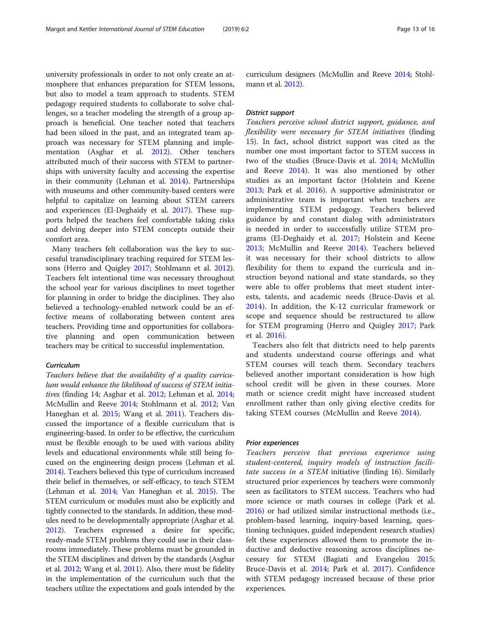university professionals in order to not only create an atmosphere that enhances preparation for STEM lessons, but also to model a team approach to students. STEM pedagogy required students to collaborate to solve challenges, so a teacher modeling the strength of a group approach is beneficial. One teacher noted that teachers had been siloed in the past, and an integrated team approach was necessary for STEM planning and implementation (Asghar et al. [2012](#page-14-0)). Other teachers attributed much of their success with STEM to partnerships with university faculty and accessing the expertise in their community (Lehman et al. [2014\)](#page-15-0). Partnerships with museums and other community-based centers were helpful to capitalize on learning about STEM careers and experiences (El-Deghaidy et al. [2017](#page-14-0)). These supports helped the teachers feel comfortable taking risks and delving deeper into STEM concepts outside their comfort area.

Many teachers felt collaboration was the key to successful transdisciplinary teaching required for STEM lessons (Herro and Quigley [2017](#page-15-0); Stohlmann et al. [2012](#page-15-0)). Teachers felt intentional time was necessary throughout the school year for various disciplines to meet together for planning in order to bridge the disciplines. They also believed a technology-enabled network could be an effective means of collaborating between content area teachers. Providing time and opportunities for collaborative planning and open communication between teachers may be critical to successful implementation.

## Curriculum

Teachers believe that the availability of a quality curriculum would enhance the likelihood of success of STEM initiatives (finding 14; Asghar et al. [2012](#page-14-0); Lehman et al. [2014](#page-15-0); McMullin and Reeve [2014;](#page-15-0) Stohlmann et al. [2012](#page-15-0); Van Haneghan et al. [2015](#page-15-0); Wang et al. [2011](#page-15-0)). Teachers discussed the importance of a flexible curriculum that is engineering-based. In order to be effective, the curriculum must be flexible enough to be used with various ability levels and educational environments while still being focused on the engineering design process (Lehman et al. [2014\)](#page-15-0). Teachers believed this type of curriculum increased their belief in themselves, or self-efficacy, to teach STEM (Lehman et al. [2014;](#page-15-0) Van Haneghan et al. [2015](#page-15-0)). The STEM curriculum or modules must also be explicitly and tightly connected to the standards. In addition, these modules need to be developmentally appropriate (Asghar et al. [2012\)](#page-14-0). Teachers expressed a desire for specific, ready-made STEM problems they could use in their classrooms immediately. These problems must be grounded in the STEM disciplines and driven by the standards (Asghar et al. [2012](#page-14-0); Wang et al. [2011\)](#page-15-0). Also, there must be fidelity in the implementation of the curriculum such that the teachers utilize the expectations and goals intended by the

curriculum designers (McMullin and Reeve [2014](#page-15-0); Stohlmann et al. [2012](#page-15-0)).

#### District support

Teachers perceive school district support, guidance, and flexibility were necessary for STEM initiatives (finding 15). In fact, school district support was cited as the number one most important factor to STEM success in two of the studies (Bruce-Davis et al. [2014;](#page-14-0) McMullin and Reeve [2014\)](#page-15-0). It was also mentioned by other studies as an important factor (Holstein and Keene [2013;](#page-15-0) Park et al. [2016\)](#page-15-0). A supportive administrator or administrative team is important when teachers are implementing STEM pedagogy. Teachers believed guidance by and constant dialog with administrators is needed in order to successfully utilize STEM programs (El-Deghaidy et al. [2017](#page-14-0); Holstein and Keene [2013;](#page-15-0) McMullin and Reeve [2014](#page-15-0)). Teachers believed it was necessary for their school districts to allow flexibility for them to expand the curricula and instruction beyond national and state standards, so they were able to offer problems that meet student interests, talents, and academic needs (Bruce-Davis et al. [2014\)](#page-14-0). In addition, the K-12 curricular framework or scope and sequence should be restructured to allow for STEM programing (Herro and Quigley [2017](#page-15-0); Park et al. [2016\)](#page-15-0).

Teachers also felt that districts need to help parents and students understand course offerings and what STEM courses will teach them. Secondary teachers believed another important consideration is how high school credit will be given in these courses. More math or science credit might have increased student enrollment rather than only giving elective credits for taking STEM courses (McMullin and Reeve [2014](#page-15-0)).

#### Prior experiences

Teachers perceive that previous experience using student-centered, inquiry models of instruction facilitate success in a STEM initiative (finding 16). Similarly structured prior experiences by teachers were commonly seen as facilitators to STEM success. Teachers who had more science or math courses in college (Park et al. [2016](#page-15-0)) or had utilized similar instructional methods (i.e., problem-based learning, inquiry-based learning, questioning techniques, guided independent research studies) felt these experiences allowed them to promote the inductive and deductive reasoning across disciplines necessary for STEM (Bagiati and Evangelou [2015](#page-14-0); Bruce-Davis et al. [2014](#page-14-0); Park et al. [2017\)](#page-15-0). Confidence with STEM pedagogy increased because of these prior experiences.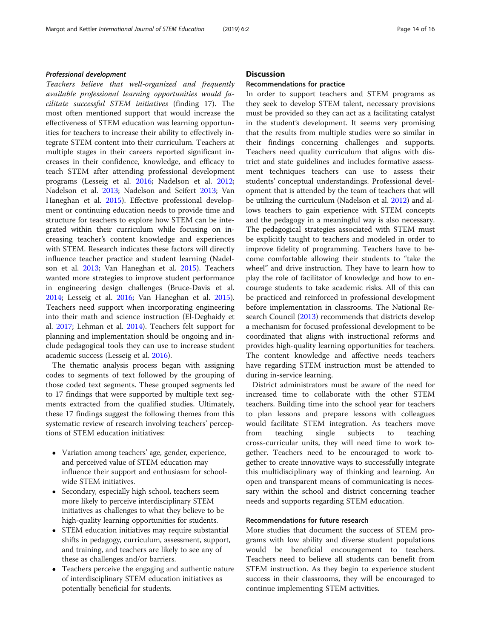#### Professional development

Teachers believe that well-organized and frequently available professional learning opportunities would facilitate successful STEM initiatives (finding 17). The most often mentioned support that would increase the effectiveness of STEM education was learning opportunities for teachers to increase their ability to effectively integrate STEM content into their curriculum. Teachers at multiple stages in their careers reported significant increases in their confidence, knowledge, and efficacy to teach STEM after attending professional development programs (Lesseig et al. [2016;](#page-15-0) Nadelson et al. [2012](#page-15-0); Nadelson et al. [2013](#page-15-0); Nadelson and Seifert [2013](#page-15-0); Van Haneghan et al. [2015\)](#page-15-0). Effective professional development or continuing education needs to provide time and structure for teachers to explore how STEM can be integrated within their curriculum while focusing on increasing teacher's content knowledge and experiences with STEM. Research indicates these factors will directly influence teacher practice and student learning (Nadelson et al. [2013](#page-15-0); Van Haneghan et al. [2015](#page-15-0)). Teachers wanted more strategies to improve student performance in engineering design challenges (Bruce-Davis et al. [2014](#page-14-0); Lesseig et al. [2016](#page-15-0); Van Haneghan et al. [2015](#page-15-0)). Teachers need support when incorporating engineering into their math and science instruction (El-Deghaidy et al. [2017](#page-14-0); Lehman et al. [2014\)](#page-15-0). Teachers felt support for planning and implementation should be ongoing and include pedagogical tools they can use to increase student academic success (Lesseig et al. [2016\)](#page-15-0).

The thematic analysis process began with assigning codes to segments of text followed by the grouping of those coded text segments. These grouped segments led to 17 findings that were supported by multiple text segments extracted from the qualified studies. Ultimately, these 17 findings suggest the following themes from this systematic review of research involving teachers' perceptions of STEM education initiatives:

- Variation among teachers' age, gender, experience, and perceived value of STEM education may influence their support and enthusiasm for schoolwide STEM initiatives.
- Secondary, especially high school, teachers seem more likely to perceive interdisciplinary STEM initiatives as challenges to what they believe to be high-quality learning opportunities for students.
- STEM education initiatives may require substantial shifts in pedagogy, curriculum, assessment, support, and training, and teachers are likely to see any of these as challenges and/or barriers.
- Teachers perceive the engaging and authentic nature of interdisciplinary STEM education initiatives as potentially beneficial for students.

#### **Discussion**

#### Recommendations for practice

In order to support teachers and STEM programs as they seek to develop STEM talent, necessary provisions must be provided so they can act as a facilitating catalyst in the student's development. It seems very promising that the results from multiple studies were so similar in their findings concerning challenges and supports. Teachers need quality curriculum that aligns with district and state guidelines and includes formative assessment techniques teachers can use to assess their students' conceptual understandings. Professional development that is attended by the team of teachers that will be utilizing the curriculum (Nadelson et al. [2012](#page-15-0)) and allows teachers to gain experience with STEM concepts and the pedagogy in a meaningful way is also necessary. The pedagogical strategies associated with STEM must be explicitly taught to teachers and modeled in order to improve fidelity of programming. Teachers have to become comfortable allowing their students to "take the wheel" and drive instruction. They have to learn how to play the role of facilitator of knowledge and how to encourage students to take academic risks. All of this can be practiced and reinforced in professional development before implementation in classrooms. The National Research Council ([2013](#page-15-0)) recommends that districts develop a mechanism for focused professional development to be coordinated that aligns with instructional reforms and provides high-quality learning opportunities for teachers. The content knowledge and affective needs teachers have regarding STEM instruction must be attended to during in-service learning.

District administrators must be aware of the need for increased time to collaborate with the other STEM teachers. Building time into the school year for teachers to plan lessons and prepare lessons with colleagues would facilitate STEM integration. As teachers move from teaching single subjects to teaching cross-curricular units, they will need time to work together. Teachers need to be encouraged to work together to create innovative ways to successfully integrate this multidisciplinary way of thinking and learning. An open and transparent means of communicating is necessary within the school and district concerning teacher needs and supports regarding STEM education.

#### Recommendations for future research

More studies that document the success of STEM programs with low ability and diverse student populations would be beneficial encouragement to teachers. Teachers need to believe all students can benefit from STEM instruction. As they begin to experience student success in their classrooms, they will be encouraged to continue implementing STEM activities.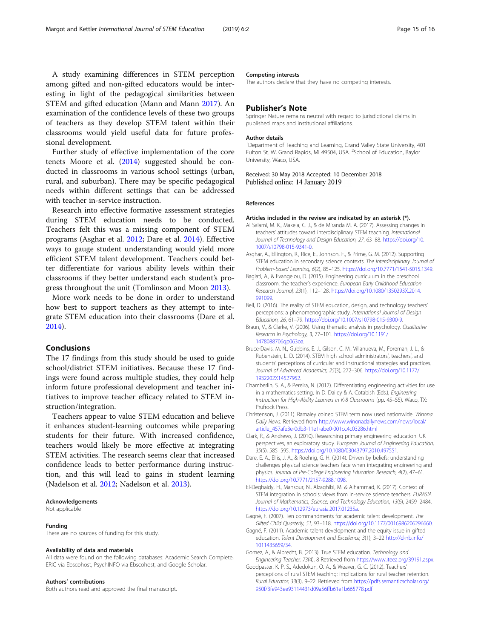<span id="page-14-0"></span>A study examining differences in STEM perception among gifted and non-gifted educators would be interesting in light of the pedagogical similarities between STEM and gifted education (Mann and Mann [2017\)](#page-15-0). An examination of the confidence levels of these two groups of teachers as they develop STEM talent within their classrooms would yield useful data for future professional development.

Further study of effective implementation of the core tenets Moore et al. ([2014](#page-15-0)) suggested should be conducted in classrooms in various school settings (urban, rural, and suburban). There may be specific pedagogical needs within different settings that can be addressed with teacher in-service instruction.

Research into effective formative assessment strategies during STEM education needs to be conducted. Teachers felt this was a missing component of STEM programs (Asghar et al. 2012; Dare et al. 2014). Effective ways to gauge student understanding would yield more efficient STEM talent development. Teachers could better differentiate for various ability levels within their classrooms if they better understand each student's progress throughout the unit (Tomlinson and Moon [2013\)](#page-15-0).

More work needs to be done in order to understand how best to support teachers as they attempt to integrate STEM education into their classrooms (Dare et al. 2014).

#### Conclusions

The 17 findings from this study should be used to guide school/district STEM initiatives. Because these 17 findings were found across multiple studies, they could help inform future professional development and teacher initiatives to improve teacher efficacy related to STEM instruction/integration.

Teachers appear to value STEM education and believe it enhances student-learning outcomes while preparing students for their future. With increased confidence, teachers would likely be more effective at integrating STEM activities. The research seems clear that increased confidence leads to better performance during instruction, and this will lead to gains in student learning (Nadelson et al. [2012](#page-15-0); Nadelson et al. [2013\)](#page-15-0).

#### Acknowledgements

Not applicable

#### Funding

There are no sources of funding for this study.

#### Availability of data and materials

All data were found on the following databases: Academic Search Complete, ERIC via Ebscohost, PsychINFO via Ebscohost, and Google Scholar.

#### Authors' contributions

Both authors read and approved the final manuscript.

#### Competing interests

The authors declare that they have no competing interests.

#### Publisher's Note

Springer Nature remains neutral with regard to jurisdictional claims in published maps and institutional affiliations.

#### Author details

<sup>1</sup>Department of Teaching and Learning, Grand Valley State University, 401 Fulton St. W, Grand Rapids, MI 49504, USA. <sup>2</sup>School of Education, Baylor University, Waco, USA.

Received: 30 May 2018 Accepted: 10 December 2018 Published online: 14 January 2019

#### References

#### Articles included in the review are indicated by an asterisk (\*).

- Al Salami, M. K., Makela, C. J., & de Miranda M. A. (2017). Assessing changes in teachers' attitudes toward interdisciplinary STEM teaching. International Journal of Technology and Design Education, 27, 63–88. [https://doi.org/10.](https://doi.org/10.1007/s10798-015-9341-0) [1007/s10798-015-9341-0](https://doi.org/10.1007/s10798-015-9341-0).
- Asghar, A., Ellington, R., Rice, E., Johnson, F., & Prime, G. M. (2012). Supporting STEM education in secondary science contexts. The Interdisciplinary Journal of Problem-based Learning, 6(2), 85–125. [https://doi.org/10.7771/1541-5015.1349.](https://doi.org/10.7771/1541-5015.1349)
- Bagiati, A., & Evangelou, D. (2015). Engineering curriculum in the preschool classroom: the teacher's experience. European Early Childhood Education Research Journal, 23(1), 112–128. [https://doi.org/10.1080/1350293X.2014.](https://doi.org/10.1080/1350293X.2014.991099) [991099](https://doi.org/10.1080/1350293X.2014.991099).
- Bell, D. (2016). The reality of STEM education, design, and technology teachers' perceptions: a phenomenographic study. International Journal of Design Education, 26, 61–79. <https://doi.org/10.1007/s10798-015-9300-9>.
- Braun, V., & Clarke, V. (2006). Using thematic analysis in psychology. Qualitative Research in Psychology, 3, 77–101. [https://doi.org/10.1191/](https://doi.org/10.1191/1478088706qp063oa) [1478088706qp063oa.](https://doi.org/10.1191/1478088706qp063oa)
- Bruce-Davis, M. N., Gubbins, E. J., Gilson, C. M., Villanueva, M., Foreman, J. L., & Rubenstein, L. D. (2014). STEM high school administrators', teachers', and students' perceptions of curricular and instructional strategies and practices. Journal of Advanced Academics, 25(3), 272–306. [https://doi.org/10.1177/](https://doi.org/10.1177/1932202X14527952) [1932202X14527952.](https://doi.org/10.1177/1932202X14527952)
- Chamberlin, S. A., & Pereira, N. (2017). Differentiating engineering activities for use in a mathematics setting. In D. Dailey & A. Cotabish (Eds.), Engineering Instruction for High-Ability Learners in K-8 Classrooms (pp. 45–55). Waco, TX: Prufrock Press.
- Christenson, J. (2011). Ramaley coined STEM term now used nationwide. Winona Daily News. Retrieved from [http://www.winonadailynews.com/news/local/](http://www.winonadailynews.com/news/local/article_457afe3e-0db3-11e1-abe0-001cc4c03286.html) [article\\_457afe3e-0db3-11e1-abe0-001cc4c03286.html](http://www.winonadailynews.com/news/local/article_457afe3e-0db3-11e1-abe0-001cc4c03286.html)
- Clark, R., & Andrews, J. (2010). Researching primary engineering education: UK perspectives, an exploratory study. European Journal of Engineering Education, 35(5), 585–595. <https://doi.org/10.1080/03043797.2010.497551>.
- Dare, E. A., Ellis, J. A., & Roehrig, G. H. (2014). Driven by beliefs: understanding challenges physical science teachers face when integrating engineering and physics. Journal of Pre-College Engineering Education Research, 4(2), 47–61. <https://doi.org/10.7771/2157-9288.1098>.
- El-Deghaidy, H., Mansour, N., Alzaghibi, M. & Alhammad, K. (2017). Context of STEM integration in schools: views from in-service science teachers. EURASIA Journal of Mathematics, Science, and Technology Education, 13(6), 2459–2484. <https://doi.org/10.12973/eurasia.2017.01235a>.
- Gagné, F. (2007). Ten commandments for academic talent development. The Gifted Child Quarterly, 51, 93–118. [https://doi.org/10.1177/0016986206296660.](https://doi.org/10.1177/0016986206296660)
- Gagné, F. (2011). Academic talent development and the equity issue in gifted education. Talent Development and Excellence, 3(1), 3–22 [http://d-nb.info/](http://d-nb.info/1011435659/34) [1011435659/34](http://d-nb.info/1011435659/34).
- Gomez, A., & Albrecht, B. (2013). True STEM education. Technology and Engineering Teacher, 73(4), 8 Retrieved from [https://www.iteea.org/39191.aspx.](https://www.iteea.org/39191.aspx)
- Goodpaster, K. P. S., Adedokun, O. A., & Weaver, G. C. (2012). Teachers' perceptions of rural STEM teaching: implications for rural teacher retention. Rural Educator, 33(3), 9–22. Retrieved from [https://pdfs.semanticscholar.org/](https://pdfs.semanticscholar.org/950f/3fe943ee93114431d09a56ffb61e1b665778.pdf) [950f/3fe943ee93114431d09a56ffb61e1b665778.pdf](https://pdfs.semanticscholar.org/950f/3fe943ee93114431d09a56ffb61e1b665778.pdf)